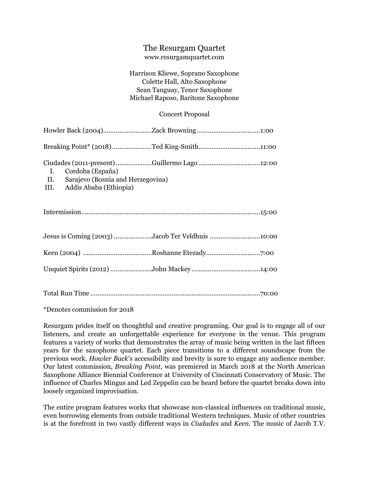## The Resurgam Quartet

## www.resurgamquartet.com

## Harrison Kliewe, Soprano Saxophone Colette Hall, Alto Saxophone Sean Tanguay, Tenor Saxophone Michael Raposo, Baritone Saxophone

## Concert Proposal

| Breaking Point* (2018)Ted King-Smith11:00                                                                                                 |
|-------------------------------------------------------------------------------------------------------------------------------------------|
| Ciudades (2011-present)Guillermo Lago12:00<br>I. Cordoba (España)<br>II. Sarajevo (Bosnia and Herzegovina)<br>III. Addis Ababa (Ethiopia) |
|                                                                                                                                           |
| Jesus is Coming (2003) Jacob Ter Veldhuis 10:00                                                                                           |
|                                                                                                                                           |
|                                                                                                                                           |
|                                                                                                                                           |

\*Denotes commission for 2018

Resurgam prides itself on thoughtful and creative programing. Our goal is to engage all of our listeners, and create an unforgettable experience for everyone in the venue. This program features a variety of works that demonstrates the array of music being written in the last fifteen years for the saxophone quartet. Each piece transitions to a different soundscape from the previous work. *Howler Back*'s accessibility and brevity is sure to engage any audience member. Our latest commission, *Breaking Point*, was premiered in March 2018 at the North American Saxophone Alliance Biennial Conference at University of Cincinnati Conservatory of Music. The influence of Charles Mingus and Led Zeppelin can be heard before the quartet breaks down into loosely organized improvisation.

The entire program features works that showcase non-classical influences on traditional music, even borrowing elements from outside traditional Western techniques. Music of other countries is at the forefront in two vastly different ways in *Ciudades* and *Keen*. The music of Jacob T.V.